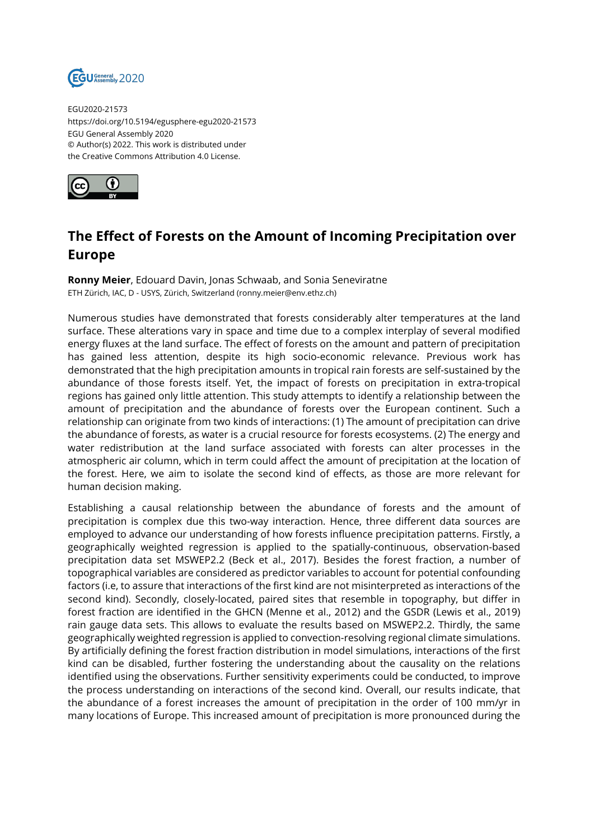

EGU2020-21573 https://doi.org/10.5194/egusphere-egu2020-21573 EGU General Assembly 2020 © Author(s) 2022. This work is distributed under the Creative Commons Attribution 4.0 License.



## **The Effect of Forests on the Amount of Incoming Precipitation over Europe**

**Ronny Meier**, Edouard Davin, Jonas Schwaab, and Sonia Seneviratne ETH Zürich, IAC, D - USYS, Zürich, Switzerland (ronny.meier@env.ethz.ch)

Numerous studies have demonstrated that forests considerably alter temperatures at the land surface. These alterations vary in space and time due to a complex interplay of several modified energy fluxes at the land surface. The effect of forests on the amount and pattern of precipitation has gained less attention, despite its high socio-economic relevance. Previous work has demonstrated that the high precipitation amounts in tropical rain forests are self-sustained by the abundance of those forests itself. Yet, the impact of forests on precipitation in extra-tropical regions has gained only little attention. This study attempts to identify a relationship between the amount of precipitation and the abundance of forests over the European continent. Such a relationship can originate from two kinds of interactions: (1) The amount of precipitation can drive the abundance of forests, as water is a crucial resource for forests ecosystems. (2) The energy and water redistribution at the land surface associated with forests can alter processes in the atmospheric air column, which in term could affect the amount of precipitation at the location of the forest. Here, we aim to isolate the second kind of effects, as those are more relevant for human decision making.

Establishing a causal relationship between the abundance of forests and the amount of precipitation is complex due this two-way interaction. Hence, three different data sources are employed to advance our understanding of how forests influence precipitation patterns. Firstly, a geographically weighted regression is applied to the spatially-continuous, observation-based precipitation data set MSWEP2.2 (Beck et al., 2017). Besides the forest fraction, a number of topographical variables are considered as predictor variables to account for potential confounding factors (i.e, to assure that interactions of the first kind are not misinterpreted as interactions of the second kind). Secondly, closely-located, paired sites that resemble in topography, but differ in forest fraction are identified in the GHCN (Menne et al., 2012) and the GSDR (Lewis et al., 2019) rain gauge data sets. This allows to evaluate the results based on MSWEP2.2. Thirdly, the same geographically weighted regression is applied to convection-resolving regional climate simulations. By artificially defining the forest fraction distribution in model simulations, interactions of the first kind can be disabled, further fostering the understanding about the causality on the relations identified using the observations. Further sensitivity experiments could be conducted, to improve the process understanding on interactions of the second kind. Overall, our results indicate, that the abundance of a forest increases the amount of precipitation in the order of 100 mm/yr in many locations of Europe. This increased amount of precipitation is more pronounced during the